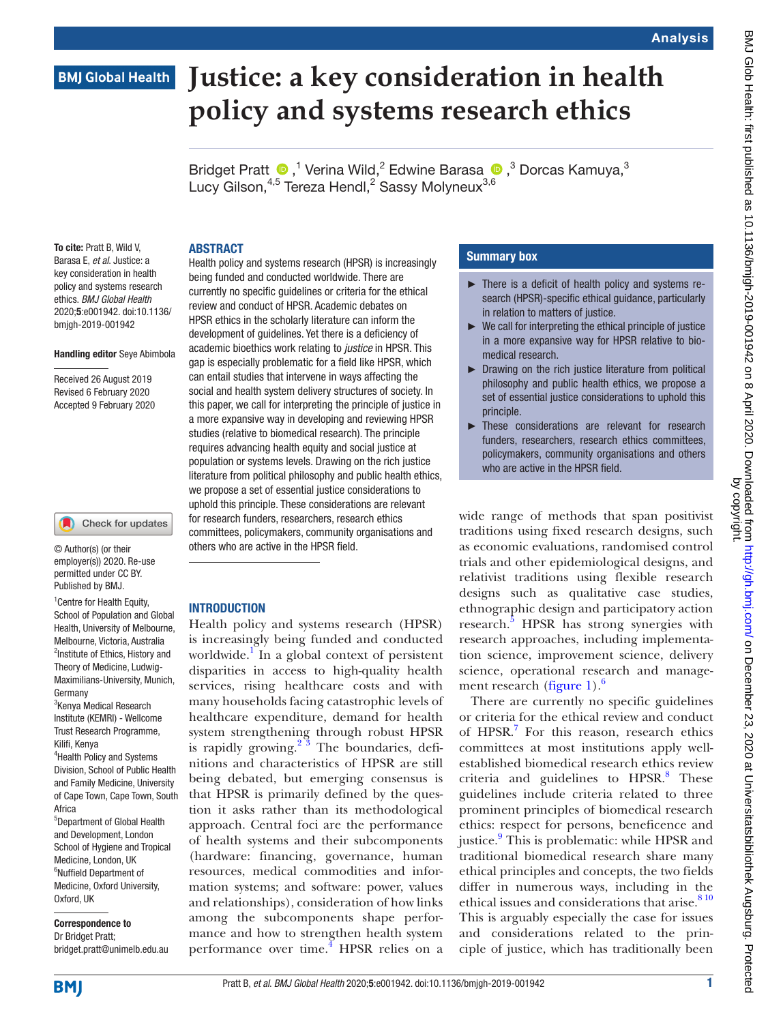## **BMJ Global Health**

# **Justice: a key consideration in health policy and systems research ethics**

BridgetPratt  $\bigcirc$ ,<sup>1</sup> Verina Wild,<sup>2</sup> Edwine Barasa  $\bigcirc$ ,<sup>3</sup> Dorcas Kamuya,<sup>3</sup> Lucy Gilson, $^{4,5}$  Tereza Hendl,<sup>2</sup> Sassy Molyneux<sup>3,6</sup>

#### **ABSTRACT**

To cite: Pratt B, Wild V, Barasa E, *et al*. Justice: a key consideration in health policy and systems research ethics. *BMJ Global Health* 2020;5:e001942. doi:10.1136/ bmjgh-2019-001942

#### Handling editor Seye Abimbola

Received 26 August 2019 Revised 6 February 2020 Accepted 9 February 2020

#### Check for updates

© Author(s) (or their employer(s)) 2020. Re-use permitted under CC BY. Published by BMJ.

<sup>1</sup> Centre for Health Equity, School of Population and Global Health, University of Melbourne, Melbourne, Victoria, Australia <sup>2</sup>Institute of Ethics, History and Theory of Medicine, Ludwig-Maximilians-University, Munich, Germany

<sup>3</sup>Kenya Medical Research Institute (KEMRI) - Wellcome Trust Research Programme, Kilifi, Kenya

<sup>4</sup> Health Policy and Systems Division, School of Public Health and Family Medicine, University of Cape Town, Cape Town, South Africa

5 Department of Global Health and Development, London School of Hygiene and Tropical Medicine, London, UK <sup>6</sup>Nuffield Department of Medicine, Oxford University, Oxford, UK

Correspondence to Dr Bridget Pratt; bridget.pratt@unimelb.edu.au Health policy and systems research (HPSR) is increasingly being funded and conducted worldwide. There are currently no specific guidelines or criteria for the ethical review and conduct of HPSR. Academic debates on HPSR ethics in the scholarly literature can inform the development of guidelines. Yet there is a deficiency of academic bioethics work relating to *justice* in HPSR. This gap is especially problematic for a field like HPSR, which can entail studies that intervene in ways affecting the social and health system delivery structures of society. In this paper, we call for interpreting the principle of justice in a more expansive way in developing and reviewing HPSR studies (relative to biomedical research). The principle requires advancing health equity and social justice at population or systems levels. Drawing on the rich justice literature from political philosophy and public health ethics, we propose a set of essential justice considerations to uphold this principle. These considerations are relevant for research funders, researchers, research ethics committees, policymakers, community organisations and others who are active in the HPSR field.

#### **INTRODUCTION**

Health policy and systems research (HPSR) is increasingly being funded and conducted worldwide.<sup>[1](#page-9-0)</sup> In a global context of persistent disparities in access to high-quality health services, rising healthcare costs and with many households facing catastrophic levels of healthcare expenditure, demand for health system strengthening through robust HPSR is rapidly growing. $2^3$  The boundaries, definitions and characteristics of HPSR are still being debated, but emerging consensus is that HPSR is primarily defined by the question it asks rather than its methodological approach. Central foci are the performance of health systems and their subcomponents (hardware: financing, governance, human resources, medical commodities and information systems; and software: power, values and relationships), consideration of how links among the subcomponents shape performance and how to strengthen health system performance over time.<sup>[4](#page-9-2)</sup> HPSR relies on a

#### Summary box

- ► There is a deficit of health policy and systems research (HPSR)-specific ethical guidance, particularly in relation to matters of justice.
- $\blacktriangleright$  We call for interpreting the ethical principle of justice in a more expansive way for HPSR relative to biomedical research.
- ► Drawing on the rich justice literature from political philosophy and public health ethics, we propose a set of essential justice considerations to uphold this principle.
- ► These considerations are relevant for research funders, researchers, research ethics committees, policymakers, community organisations and others who are active in the HPSR field.

wide range of methods that span positivist traditions using fixed research designs, such as economic evaluations, randomised control trials and other epidemiological designs, and relativist traditions using flexible research designs such as qualitative case studies, ethnographic design and participatory action research.<sup>[5](#page-9-3)</sup> HPSR has strong synergies with research approaches, including implementation science, improvement science, delivery science, operational research and management research ([figure](#page-1-0) 1). $^{\circ}$ 

There are currently no specific guidelines or criteria for the ethical review and conduct of HPSR.<sup>[7](#page-9-5)</sup> For this reason, research ethics committees at most institutions apply wellestablished biomedical research ethics review criteria and guidelines to HPSR.<sup>8</sup> These guidelines include criteria related to three prominent principles of biomedical research ethics: respect for persons, beneficence and justice.<sup>[9](#page-9-7)</sup> This is problematic: while HPSR and traditional biomedical research share many ethical principles and concepts, the two fields differ in numerous ways, including in the ethical issues and considerations that arise.<sup>810</sup> This is arguably especially the case for issues and considerations related to the principle of justice, which has traditionally been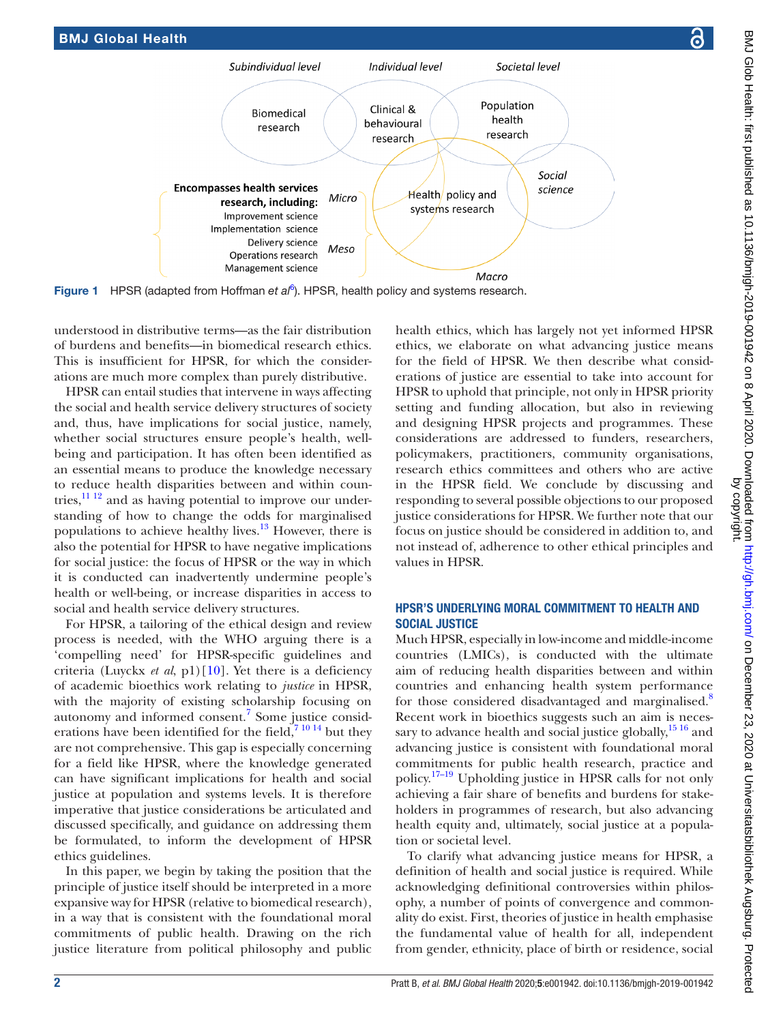

Figure 1 HPSR (adapted from Hoffman et al<sup>[6](#page-9-4)</sup>). HPSR, health policy and systems research.

understood in distributive terms—as the fair distribution of burdens and benefits—in biomedical research ethics. This is insufficient for HPSR, for which the considerations are much more complex than purely distributive.

HPSR can entail studies that intervene in ways affecting the social and health service delivery structures of society and, thus, have implications for social justice, namely, whether social structures ensure people's health, wellbeing and participation. It has often been identified as an essential means to produce the knowledge necessary to reduce health disparities between and within countries, $\frac{11 \text{ } 12 \text{ }}{12}$  and as having potential to improve our understanding of how to change the odds for marginalised populations to achieve healthy lives.[13](#page-9-9) However, there is also the potential for HPSR to have negative implications for social justice: the focus of HPSR or the way in which it is conducted can inadvertently undermine people's health or well-being, or increase disparities in access to social and health service delivery structures.

For HPSR, a tailoring of the ethical design and review process is needed, with the WHO arguing there is a 'compelling need' for HPSR-specific guidelines and criteria (Luyckx *et al*, p1)[\[10\]](#page-9-10). Yet there is a deficiency of academic bioethics work relating to *justice* in HPSR, with the majority of existing scholarship focusing on autonomy and informed consent.<sup>[7](#page-9-5)</sup> Some justice considerations have been identified for the field,  $7^{10}$  14 but they are not comprehensive. This gap is especially concerning for a field like HPSR, where the knowledge generated can have significant implications for health and social justice at population and systems levels. It is therefore imperative that justice considerations be articulated and discussed specifically, and guidance on addressing them be formulated, to inform the development of HPSR ethics guidelines.

In this paper, we begin by taking the position that the principle of justice itself should be interpreted in a more expansive way for HPSR (relative to biomedical research), in a way that is consistent with the foundational moral commitments of public health. Drawing on the rich justice literature from political philosophy and public

<span id="page-1-0"></span>health ethics, which has largely not yet informed HPSR ethics, we elaborate on what advancing justice means for the field of HPSR. We then describe what considerations of justice are essential to take into account for HPSR to uphold that principle, not only in HPSR priority setting and funding allocation, but also in reviewing and designing HPSR projects and programmes. These considerations are addressed to funders, researchers, policymakers, practitioners, community organisations, research ethics committees and others who are active in the HPSR field. We conclude by discussing and responding to several possible objections to our proposed justice considerations for HPSR. We further note that our focus on justice should be considered in addition to, and not instead of, adherence to other ethical principles and values in HPSR.

### HPSR's underlying moral commitment to health and **SOCIAL JUSTICE**

Much HPSR, especially in low-income and middle-income countries (LMICs), is conducted with the ultimate aim of reducing health disparities between and within countries and enhancing health system performance for those considered disadvantaged and marginalised.<sup>[8](#page-9-6)</sup> Recent work in bioethics suggests such an aim is necessary to advance health and social justice globally,<sup>15 16</sup> and advancing justice is consistent with foundational moral commitments for public health research, practice and policy.[17–19](#page-9-12) Upholding justice in HPSR calls for not only achieving a fair share of benefits and burdens for stakeholders in programmes of research, but also advancing health equity and, ultimately, social justice at a population or societal level.

To clarify what advancing justice means for HPSR, a definition of health and social justice is required. While acknowledging definitional controversies within philosophy, a number of points of convergence and commonality do exist. First, theories of justice in health emphasise the fundamental value of health for all, independent from gender, ethnicity, place of birth or residence, social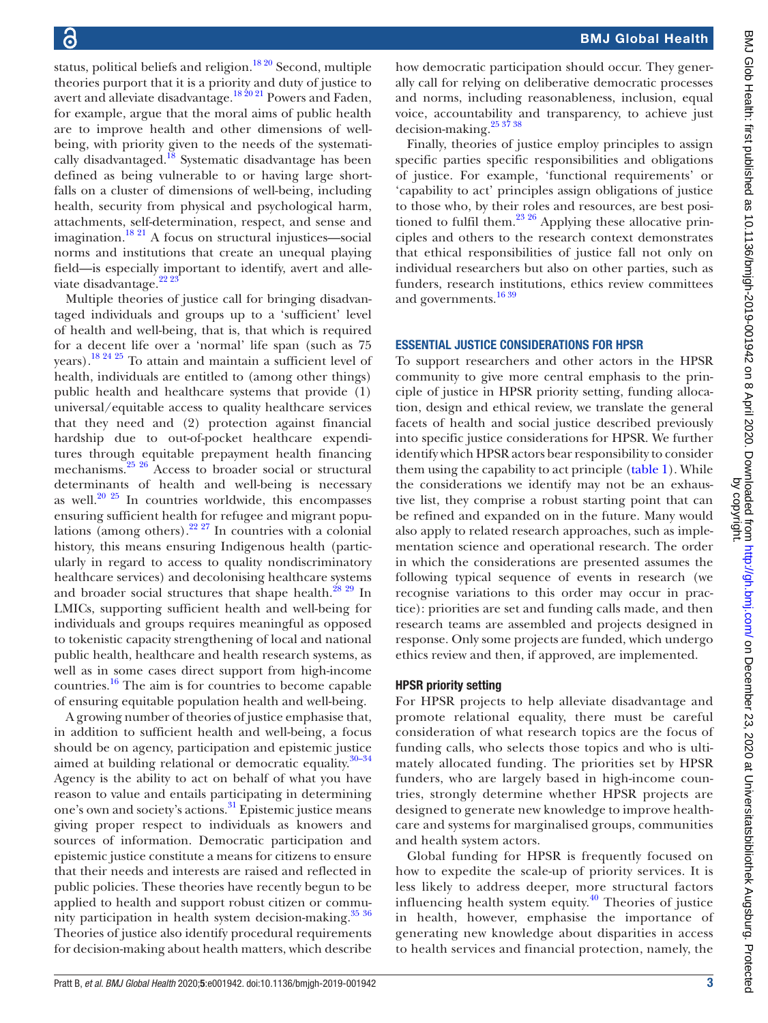status, political beliefs and religion.<sup>18 20</sup> Second, multiple theories purport that it is a priority and duty of justice to avert and alleviate disadvantage.[18 20 21](#page-9-13) Powers and Faden, for example, argue that the moral aims of public health are to improve health and other dimensions of wellbeing, with priority given to the needs of the systematically disadvantaged[.18](#page-9-13) Systematic disadvantage has been defined as being vulnerable to or having large shortfalls on a cluster of dimensions of well-being, including health, security from physical and psychological harm, attachments, self-determination, respect, and sense and imagination[.18 21](#page-9-13) A focus on structural injustices—social norms and institutions that create an unequal playing field—is especially important to identify, avert and alle-viate disadvantage.<sup>[22 23](#page-9-14)</sup>

Multiple theories of justice call for bringing disadvantaged individuals and groups up to a 'sufficient' level of health and well-being, that is, that which is required for a decent life over a 'normal' life span (such as 75 years).[18 24 25](#page-9-13) To attain and maintain a sufficient level of health, individuals are entitled to (among other things) public health and healthcare systems that provide (1) universal/equitable access to quality healthcare services that they need and (2) protection against financial hardship due to out-of-pocket healthcare expenditures through equitable prepayment health financing mechanisms.<sup>25</sup> <sup>26</sup> Access to broader social or structural determinants of health and well-being is necessary as well. $20\frac{25}{5}$  In countries worldwide, this encompasses ensuring sufficient health for refugee and migrant populations (among others).<sup>22 27</sup> In countries with a colonial history, this means ensuring Indigenous health (particularly in regard to access to quality nondiscriminatory healthcare services) and decolonising healthcare systems and broader social structures that shape health. $^{28}$   $^{29}$  In LMICs, supporting sufficient health and well-being for individuals and groups requires meaningful as opposed to tokenistic capacity strengthening of local and national public health, healthcare and health research systems, as well as in some cases direct support from high-income countries.[16](#page-9-16) The aim is for countries to become capable of ensuring equitable population health and well-being.

A growing number of theories of justice emphasise that, in addition to sufficient health and well-being, a focus should be on agency, participation and epistemic justice aimed at building relational or democratic equality.<sup>30-34</sup> Agency is the ability to act on behalf of what you have reason to value and entails participating in determining one's own and society's actions.[31](#page-10-3) Epistemic justice means giving proper respect to individuals as knowers and sources of information. Democratic participation and epistemic justice constitute a means for citizens to ensure that their needs and interests are raised and reflected in public policies. These theories have recently begun to be applied to health and support robust citizen or community participation in health system decision-making. $35\,36$ Theories of justice also identify procedural requirements for decision-making about health matters, which describe

how democratic participation should occur. They generally call for relying on deliberative democratic processes and norms, including reasonableness, inclusion, equal voice, accountability and transparency, to achieve just decision-making.[25 37 38](#page-10-0)

Finally, theories of justice employ principles to assign specific parties specific responsibilities and obligations of justice. For example, 'functional requirements' or 'capability to act' principles assign obligations of justice to those who, by their roles and resources, are best positioned to fulfil them. $^{23\,26}$  Applying these allocative principles and others to the research context demonstrates that ethical responsibilities of justice fall not only on individual researchers but also on other parties, such as funders, research institutions, ethics review committees and governments.<sup>16 39</sup>

#### Essential justice considerations for HPSR

To support researchers and other actors in the HPSR community to give more central emphasis to the principle of justice in HPSR priority setting, funding allocation, design and ethical review, we translate the general facets of health and social justice described previously into specific justice considerations for HPSR. We further identify which HPSR actors bear responsibility to consider them using the capability to act principle ([table](#page-3-0) 1). While the considerations we identify may not be an exhaustive list, they comprise a robust starting point that can be refined and expanded on in the future. Many would also apply to related research approaches, such as implementation science and operational research. The order in which the considerations are presented assumes the following typical sequence of events in research (we recognise variations to this order may occur in practice): priorities are set and funding calls made, and then research teams are assembled and projects designed in response. Only some projects are funded, which undergo ethics review and then, if approved, are implemented.

#### HPSR priority setting

For HPSR projects to help alleviate disadvantage and promote relational equality, there must be careful consideration of what research topics are the focus of funding calls, who selects those topics and who is ultimately allocated funding. The priorities set by HPSR funders, who are largely based in high-income countries, strongly determine whether HPSR projects are designed to generate new knowledge to improve healthcare and systems for marginalised groups, communities and health system actors.

Global funding for HPSR is frequently focused on how to expedite the scale-up of priority services. It is less likely to address deeper, more structural factors influencing health system equity. $40$  Theories of justice in health, however, emphasise the importance of generating new knowledge about disparities in access to health services and financial protection, namely, the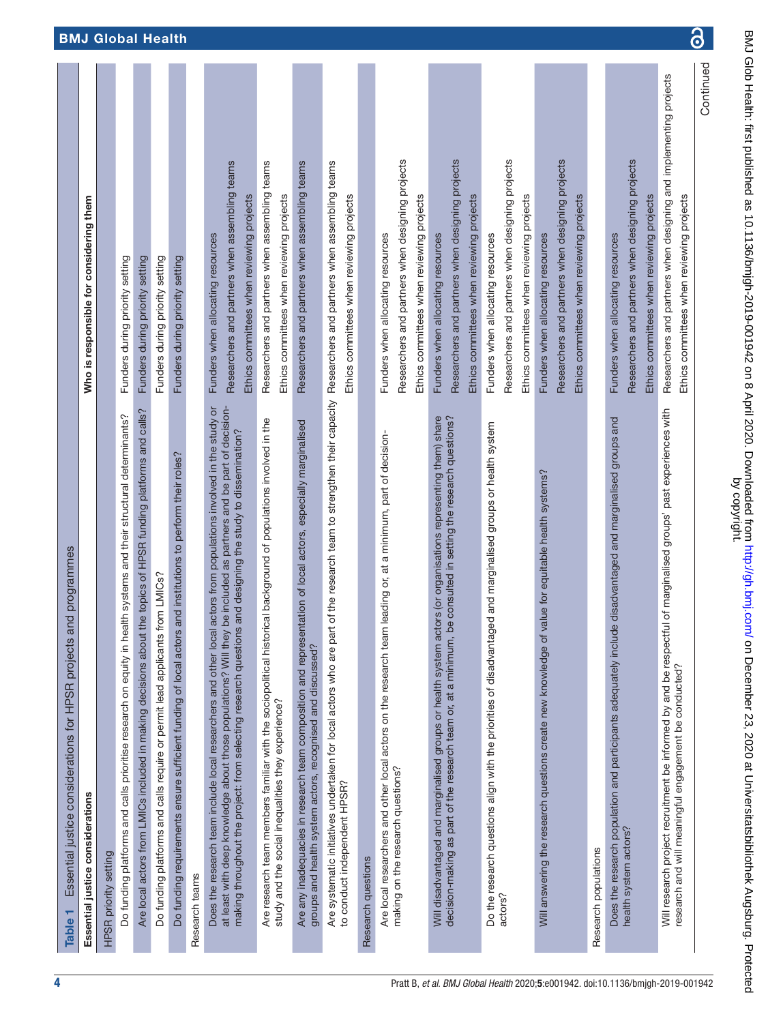<span id="page-3-0"></span>

| and programmes<br>Essential justice considerations for HPSR projects<br>Table <sub>1</sub>                                                                                                                                                                                                                                                                   |                                                                                                                                  |
|--------------------------------------------------------------------------------------------------------------------------------------------------------------------------------------------------------------------------------------------------------------------------------------------------------------------------------------------------------------|----------------------------------------------------------------------------------------------------------------------------------|
| Essential justice considerations                                                                                                                                                                                                                                                                                                                             | Who is responsible for considering them                                                                                          |
| <b>HPSR</b> priority setting                                                                                                                                                                                                                                                                                                                                 |                                                                                                                                  |
| Do funding platforms and calls prioritise research on equity in health systems and their structural determinants?                                                                                                                                                                                                                                            | Funders during priority setting                                                                                                  |
| Are local actors from LMICs included in making decisions about the topics of HPSR funding platforms and calls?                                                                                                                                                                                                                                               | Funders during priority setting                                                                                                  |
| Do funding platforms and calls require or permit lead applicants from LMICs?                                                                                                                                                                                                                                                                                 | Funders during priority setting                                                                                                  |
| and institutions to perform their roles?<br>Do funding requirements ensure sufficient funding of local actors                                                                                                                                                                                                                                                | Funders during priority setting                                                                                                  |
| Research teams                                                                                                                                                                                                                                                                                                                                               |                                                                                                                                  |
| be included as partners and be part of decision-<br>actors from populations involved in the study or<br>and designing the study to dissemination?<br>making throughout the project: from selecting research questions<br>Does the research team include local researchers and other local<br>at least with deep knowledge about those populations? Will they | Researchers and partners when assembling teams<br>Ethics committees when reviewing projects<br>Funders when allocating resources |
| Are research team members familiar with the sociopolitical historical background of populations involved in the<br>study and the social inequalities they experience?                                                                                                                                                                                        | Researchers and partners when assembling teams                                                                                   |
|                                                                                                                                                                                                                                                                                                                                                              | Ethics committees when reviewing projects                                                                                        |
| Are any inadequacies in research team composition and representation of local actors, especially marginalised<br>groups and health system actors, recognised and discussed?                                                                                                                                                                                  | Researchers and partners when assembling teams                                                                                   |
| of the research team to strengthen their capacity<br>Are systematic initiatives undertaken for local actors who are par<br>to conduct independent HPSR?                                                                                                                                                                                                      | Researchers and partners when assembling teams<br>Ethics committees when reviewing projects                                      |
|                                                                                                                                                                                                                                                                                                                                                              |                                                                                                                                  |
| Research questions                                                                                                                                                                                                                                                                                                                                           |                                                                                                                                  |
| leading or, at a minimum, part of decision-<br>Are local researchers and other local actors on the research team<br>making on the research questions?                                                                                                                                                                                                        | Funders when allocating resources                                                                                                |
|                                                                                                                                                                                                                                                                                                                                                              | Researchers and partners when designing projects                                                                                 |
|                                                                                                                                                                                                                                                                                                                                                              | Ethics committees when reviewing projects                                                                                        |
| Will disadvantaged and marginalised groups or health system actors (or organisations representing them) share                                                                                                                                                                                                                                                | Funders when allocating resources                                                                                                |
| e consulted in setting the research questions?<br>decision-making as part of the research team or, at a minimum, b                                                                                                                                                                                                                                           | Researchers and partners when designing projects                                                                                 |
|                                                                                                                                                                                                                                                                                                                                                              | Ethics committees when reviewing projects                                                                                        |
| Do the research questions align with the priorities of disadvantaged and marginalised groups or health system                                                                                                                                                                                                                                                | Funders when allocating resources                                                                                                |
| actors?                                                                                                                                                                                                                                                                                                                                                      | Researchers and partners when designing projects                                                                                 |
|                                                                                                                                                                                                                                                                                                                                                              | Ethics committees when reviewing projects                                                                                        |
| Will answering the research questions create new knowledge of value for equitable health systems?                                                                                                                                                                                                                                                            | Funders when allocating resources                                                                                                |
|                                                                                                                                                                                                                                                                                                                                                              | Researchers and partners when designing projects                                                                                 |
|                                                                                                                                                                                                                                                                                                                                                              | Ethics committees when reviewing projects                                                                                        |
| Research populations                                                                                                                                                                                                                                                                                                                                         |                                                                                                                                  |
| Does the research population and participants adequately include disadvantaged and marginalised groups and                                                                                                                                                                                                                                                   | Funders when allocating resources                                                                                                |
| health system actors?                                                                                                                                                                                                                                                                                                                                        | Researchers and partners when designing projects                                                                                 |
|                                                                                                                                                                                                                                                                                                                                                              | Ethics committees when reviewing projects                                                                                        |
| Will research project recruitment be informed by and be respectful of marginalised groups' past experiences with                                                                                                                                                                                                                                             | Researchers and partners when designing and implementing projects                                                                |
| research and will meaningful engagement be conducted?                                                                                                                                                                                                                                                                                                        | Ethics committees when reviewing projects                                                                                        |
|                                                                                                                                                                                                                                                                                                                                                              | Continued                                                                                                                        |

෬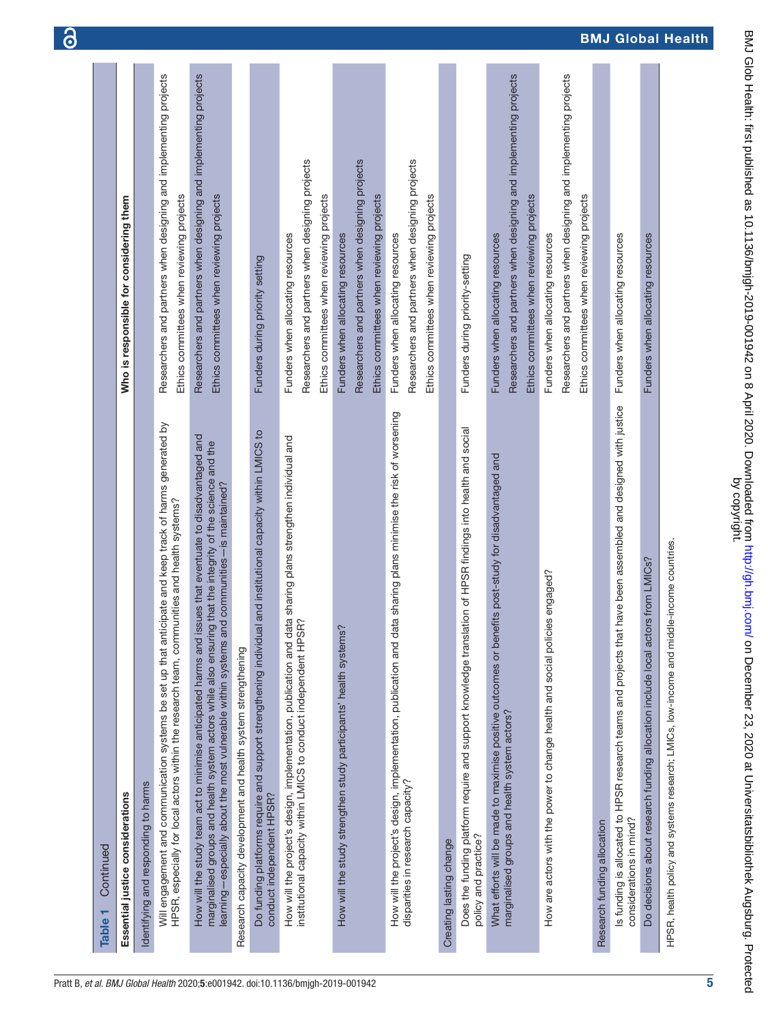| Continued<br>Table 1                                                                                                                                                                                                                                                                                                  |                                                                                                                |
|-----------------------------------------------------------------------------------------------------------------------------------------------------------------------------------------------------------------------------------------------------------------------------------------------------------------------|----------------------------------------------------------------------------------------------------------------|
| Essential justice considerations                                                                                                                                                                                                                                                                                      | Who is responsible for considering them                                                                        |
| Identifying and responding to harms                                                                                                                                                                                                                                                                                   |                                                                                                                |
| Will engagement and communication systems be set up that anticipate and keep track of harms generated by<br>HPSR, especially for local actors within the research team, communities and health systems?                                                                                                               | Researchers and partners when designing and implementing projects<br>Ethics committees when reviewing projects |
| How will the study team act to minimise anticipated harms and issues that eventuate to disadvantaged and<br>marginalised groups and health system actors while also ensuring that the integrity of the science and the<br>learning-especially about the most vulnerable within systems and communities-is maintained? | Researchers and partners when designing and implementing projects<br>Ethics committees when reviewing projects |
| Research capacity development and health system strengthening                                                                                                                                                                                                                                                         |                                                                                                                |
| and institutional capacity within LMICS to<br>Do funding platforms require and support strengthening individual<br>conduct independent HPSR?                                                                                                                                                                          | Funders during priority setting                                                                                |
| institutional capacity within LMICS to conduct independent HPSR?<br>Institutional capacity within LMICS to conduct independent HPSR?                                                                                                                                                                                  | Funders when allocating resources                                                                              |
|                                                                                                                                                                                                                                                                                                                       | Researchers and partners when designing projects                                                               |
|                                                                                                                                                                                                                                                                                                                       | Ethics committees when reviewing projects                                                                      |
| How will the study strengthen study participants' health systems?                                                                                                                                                                                                                                                     | Funders when allocating resources                                                                              |
|                                                                                                                                                                                                                                                                                                                       | Researchers and partners when designing projects                                                               |
|                                                                                                                                                                                                                                                                                                                       | Ethics committees when reviewing projects                                                                      |
| a sharing plans minimise the risk of worsening<br>How will the project's design, implementation, publication and dat                                                                                                                                                                                                  | Funders when allocating resources                                                                              |
| disparities in research capacity?                                                                                                                                                                                                                                                                                     | Researchers and partners when designing projects                                                               |
|                                                                                                                                                                                                                                                                                                                       | Ethics committees when reviewing projects                                                                      |
| Creating lasting change                                                                                                                                                                                                                                                                                               |                                                                                                                |
| Does the funding platform require and support knowledge translation of HPSR findings into health and social<br>policy and practice?                                                                                                                                                                                   | Funders during priority-setting                                                                                |
| What efforts will be made to maximise positive outcomes or benefits post-study for disadvantaged and                                                                                                                                                                                                                  | Funders when allocating resources                                                                              |
| marginalised groups and health system actors?                                                                                                                                                                                                                                                                         | Researchers and partners when designing and implementing projects                                              |
|                                                                                                                                                                                                                                                                                                                       | Ethics committees when reviewing projects                                                                      |
| How are actors with the power to change health and social policies engaged?                                                                                                                                                                                                                                           | Funders when allocating resources                                                                              |
|                                                                                                                                                                                                                                                                                                                       | Researchers and partners when designing and implementing projects                                              |
|                                                                                                                                                                                                                                                                                                                       | Ethics committees when reviewing projects                                                                      |
| Research funding allocation                                                                                                                                                                                                                                                                                           |                                                                                                                |
| have been assembled and designed with justice<br>Is funding is allocated to HPSR research teams and projects that<br>considerations in mind?                                                                                                                                                                          | Funders when allocating resources                                                                              |
| Do decisions about research funding allocation include local actors from LMICs?                                                                                                                                                                                                                                       | Funders when allocating resources                                                                              |

ခြ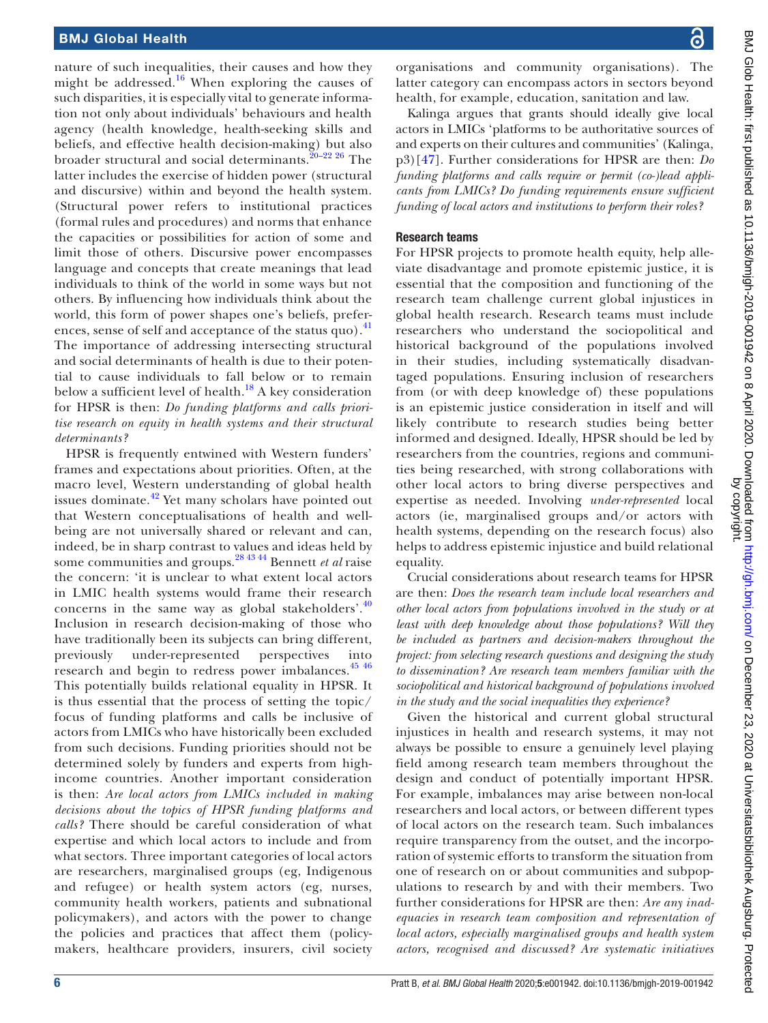nature of such inequalities, their causes and how they might be addressed.<sup>[16](#page-9-16)</sup> When exploring the causes of such disparities, it is especially vital to generate information not only about individuals' behaviours and health agency (health knowledge, health-seeking skills and beliefs, and effective health decision-making) but also broader structural and social determinants.<sup>20-22 26</sup> The latter includes the exercise of hidden power (structural and discursive) within and beyond the health system. (Structural power refers to institutional practices (formal rules and procedures) and norms that enhance the capacities or possibilities for action of some and limit those of others. Discursive power encompasses language and concepts that create meanings that lead individuals to think of the world in some ways but not others. By influencing how individuals think about the world, this form of power shapes one's beliefs, prefer-ences, sense of self and acceptance of the status quo).<sup>[41](#page-10-7)</sup> The importance of addressing intersecting structural and social determinants of health is due to their potential to cause individuals to fall below or to remain below a sufficient level of health.<sup>[18](#page-9-13)</sup> A key consideration for HPSR is then: *Do funding platforms and calls prioritise research on equity in health systems and their structural determinants?*

HPSR is frequently entwined with Western funders' frames and expectations about priorities. Often, at the macro level, Western understanding of global health issues dominate. $42$  Yet many scholars have pointed out that Western conceptualisations of health and wellbeing are not universally shared or relevant and can, indeed, be in sharp contrast to values and ideas held by some communities and groups.[28 43 44](#page-10-1) Bennett *et al* raise the concern: 'it is unclear to what extent local actors in LMIC health systems would frame their research concerns in the same way as global stakeholders'.[40](#page-10-6) Inclusion in research decision-making of those who have traditionally been its subjects can bring different, previously under-represented perspectives into research and begin to redress power imbalances.<sup>[45 46](#page-10-9)</sup> This potentially builds relational equality in HPSR. It is thus essential that the process of setting the topic/ focus of funding platforms and calls be inclusive of actors from LMICs who have historically been excluded from such decisions. Funding priorities should not be determined solely by funders and experts from highincome countries. Another important consideration is then: *Are local actors from LMICs included in making decisions about the topics of HPSR funding platforms and calls?* There should be careful consideration of what expertise and which local actors to include and from what sectors. Three important categories of local actors are researchers, marginalised groups (eg, Indigenous and refugee) or health system actors (eg, nurses, community health workers, patients and subnational policymakers), and actors with the power to change the policies and practices that affect them (policymakers, healthcare providers, insurers, civil society

organisations and community organisations). The latter category can encompass actors in sectors beyond health, for example, education, sanitation and law.

Kalinga argues that grants should ideally give local actors in LMICs 'platforms to be authoritative sources of and experts on their cultures and communities' (Kalinga, p3)[[47](#page-10-10)]. Further considerations for HPSR are then: *Do funding platforms and calls require or permit (co-)lead applicants from LMICs? Do funding requirements ensure sufficient funding of local actors and institutions to perform their roles?*

#### Research teams

For HPSR projects to promote health equity, help alleviate disadvantage and promote epistemic justice, it is essential that the composition and functioning of the research team challenge current global injustices in global health research. Research teams must include researchers who understand the sociopolitical and historical background of the populations involved in their studies, including systematically disadvantaged populations. Ensuring inclusion of researchers from (or with deep knowledge of) these populations is an epistemic justice consideration in itself and will likely contribute to research studies being better informed and designed. Ideally, HPSR should be led by researchers from the countries, regions and communities being researched, with strong collaborations with other local actors to bring diverse perspectives and expertise as needed. Involving *under-represented* local actors (ie, marginalised groups and/or actors with health systems, depending on the research focus) also helps to address epistemic injustice and build relational equality.

Crucial considerations about research teams for HPSR are then: *Does the research team include local researchers and other local actors from populations involved in the study or at least with deep knowledge about those populations? Will they be included as partners and decision-makers throughout the project: from selecting research questions and designing the study to dissemination? Are research team members familiar with the sociopolitical and historical background of populations involved in the study and the social inequalities they experience?*

Given the historical and current global structural injustices in health and research systems, it may not always be possible to ensure a genuinely level playing field among research team members throughout the design and conduct of potentially important HPSR. For example, imbalances may arise between non-local researchers and local actors, or between different types of local actors on the research team. Such imbalances require transparency from the outset, and the incorporation of systemic efforts to transform the situation from one of research on or about communities and subpopulations to research by and with their members. Two further considerations for HPSR are then: *Are any inadequacies in research team composition and representation of local actors, especially marginalised groups and health system actors, recognised and discussed? Are systematic initiatives*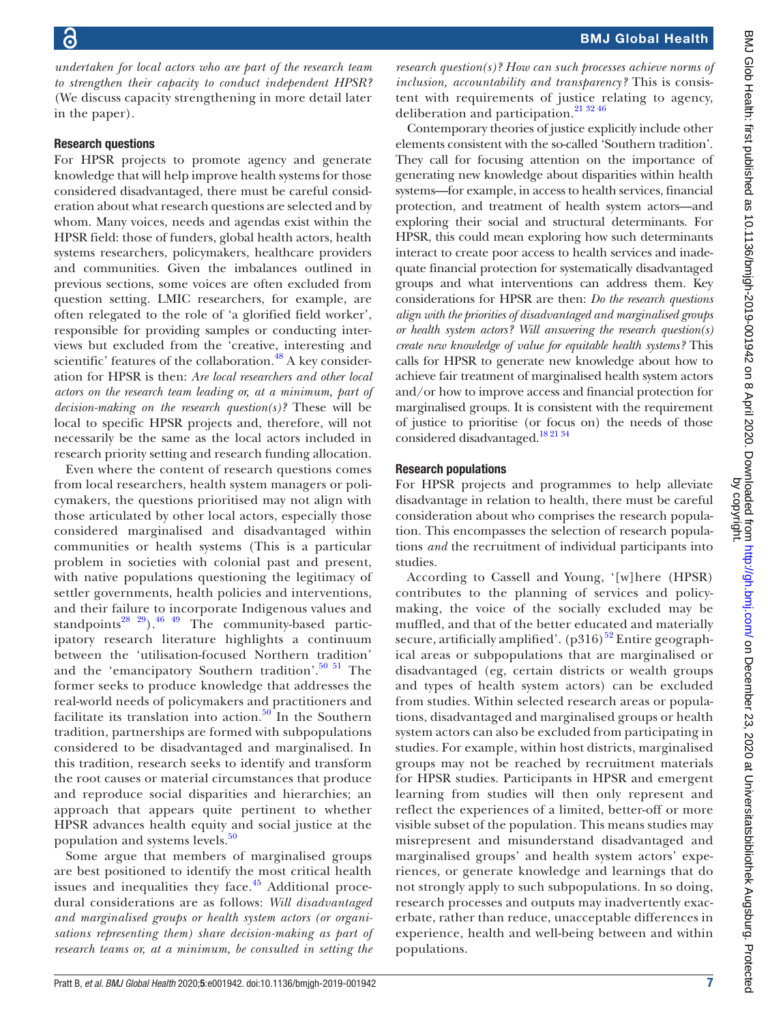*undertaken for local actors who are part of the research team to strengthen their capacity to conduct independent HPSR?* (We discuss capacity strengthening in more detail later in the paper).

#### Research questions

For HPSR projects to promote agency and generate knowledge that will help improve health systems for those considered disadvantaged, there must be careful consideration about what research questions are selected and by whom. Many voices, needs and agendas exist within the HPSR field: those of funders, global health actors, health systems researchers, policymakers, healthcare providers and communities. Given the imbalances outlined in previous sections, some voices are often excluded from question setting. LMIC researchers, for example, are often relegated to the role of 'a glorified field worker', responsible for providing samples or conducting interviews but excluded from the 'creative, interesting and scientific' features of the collaboration. $^{48}$  A key consideration for HPSR is then: *Are local researchers and other local actors on the research team leading or, at a minimum, part of decision-making on the research question(s)?* These will be local to specific HPSR projects and, therefore, will not necessarily be the same as the local actors included in research priority setting and research funding allocation.

Even where the content of research questions comes from local researchers, health system managers or policymakers, the questions prioritised may not align with those articulated by other local actors, especially those considered marginalised and disadvantaged within communities or health systems (This is a particular problem in societies with colonial past and present, with native populations questioning the legitimacy of settler governments, health policies and interventions, and their failure to incorporate Indigenous values and standpoints<sup>28</sup> <sup>29</sup>).<sup>46</sup> <sup>49</sup> The community-based participatory research literature highlights a continuum between the 'utilisation-focused Northern tradition' and the 'emancipatory Southern tradition'.<sup>[50 51](#page-10-13)</sup> The former seeks to produce knowledge that addresses the real-world needs of policymakers and practitioners and facilitate its translation into action. $50$  In the Southern tradition, partnerships are formed with subpopulations considered to be disadvantaged and marginalised. In this tradition, research seeks to identify and transform the root causes or material circumstances that produce and reproduce social disparities and hierarchies; an approach that appears quite pertinent to whether HPSR advances health equity and social justice at the population and systems levels.<sup>[50](#page-10-13)</sup>

Some argue that members of marginalised groups are best positioned to identify the most critical health issues and inequalities they face.<sup>45</sup> Additional procedural considerations are as follows: *Will disadvantaged and marginalised groups or health system actors (or organisations representing them) share decision-making as part of research teams or, at a minimum, be consulted in setting the* 

*research question(s)? How can such processes achieve norms of inclusion, accountability and transparency?* This is consistent with requirements of justice relating to agency, deliberation and participation.<sup>[21 32 46](#page-9-17)</sup>

Contemporary theories of justice explicitly include other elements consistent with the so-called 'Southern tradition'. They call for focusing attention on the importance of generating new knowledge about disparities within health systems—for example, in access to health services, financial protection, and treatment of health system actors—and exploring their social and structural determinants. For HPSR, this could mean exploring how such determinants interact to create poor access to health services and inadequate financial protection for systematically disadvantaged groups and what interventions can address them. Key considerations for HPSR are then: *Do the research questions align with the priorities of disadvantaged and marginalised groups or health system actors? Will answering the research question(s) create new knowledge of value for equitable health systems?* This calls for HPSR to generate new knowledge about how to achieve fair treatment of marginalised health system actors and/or how to improve access and financial protection for marginalised groups. It is consistent with the requirement of justice to prioritise (or focus on) the needs of those considered disadvantaged.<sup>18 21 34</sup>

#### Research populations

For HPSR projects and programmes to help alleviate disadvantage in relation to health, there must be careful consideration about who comprises the research population. This encompasses the selection of research populations *and* the recruitment of individual participants into studies.

According to Cassell and Young, '[w]here (HPSR) contributes to the planning of services and policymaking, the voice of the socially excluded may be muffled, and that of the better educated and materially secure, artificially amplified'.  $(p316)^{52}$  Entire geographical areas or subpopulations that are marginalised or disadvantaged (eg, certain districts or wealth groups and types of health system actors) can be excluded from studies. Within selected research areas or populations, disadvantaged and marginalised groups or health system actors can also be excluded from participating in studies. For example, within host districts, marginalised groups may not be reached by recruitment materials for HPSR studies. Participants in HPSR and emergent learning from studies will then only represent and reflect the experiences of a limited, better-off or more visible subset of the population. This means studies may misrepresent and misunderstand disadvantaged and marginalised groups' and health system actors' experiences, or generate knowledge and learnings that do not strongly apply to such subpopulations. In so doing, research processes and outputs may inadvertently exacerbate, rather than reduce, unacceptable differences in experience, health and well-being between and within populations.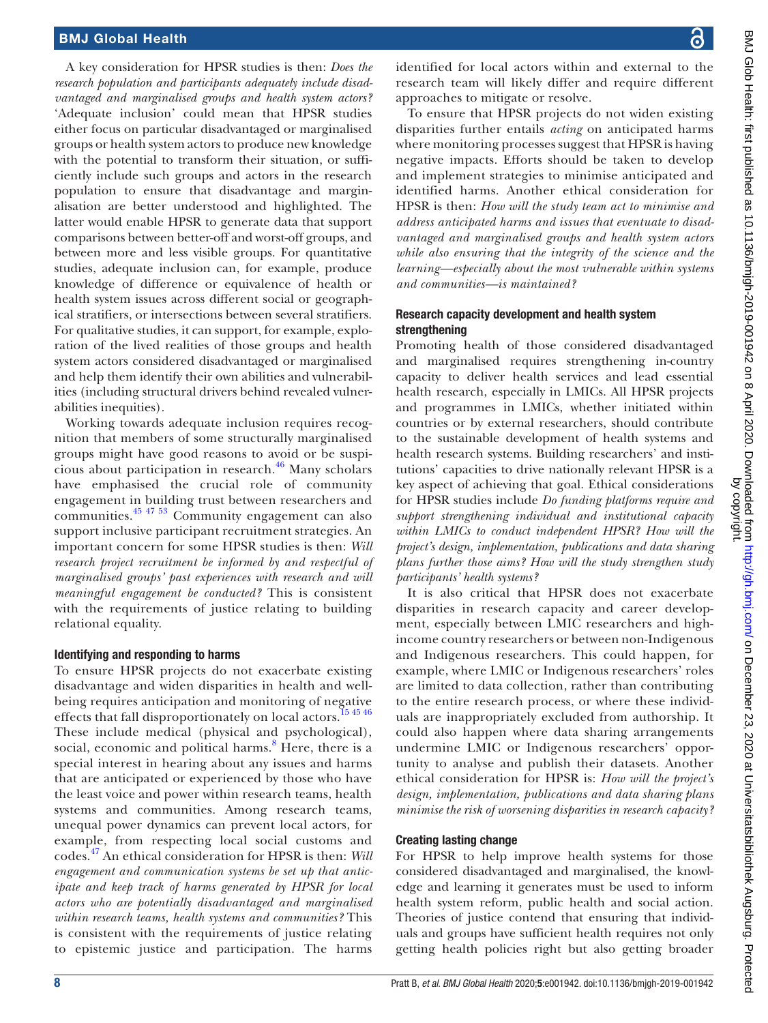A key consideration for HPSR studies is then: *Does the research population and participants adequately include disadvantaged and marginalised groups and health system actors?* 'Adequate inclusion' could mean that HPSR studies either focus on particular disadvantaged or marginalised groups or health system actors to produce new knowledge with the potential to transform their situation, or sufficiently include such groups and actors in the research population to ensure that disadvantage and marginalisation are better understood and highlighted. The latter would enable HPSR to generate data that support comparisons between better-off and worst-off groups, and between more and less visible groups. For quantitative studies, adequate inclusion can, for example, produce knowledge of difference or equivalence of health or health system issues across different social or geographical stratifiers, or intersections between several stratifiers. For qualitative studies, it can support, for example, exploration of the lived realities of those groups and health system actors considered disadvantaged or marginalised and help them identify their own abilities and vulnerabilities (including structural drivers behind revealed vulnerabilities inequities).

Working towards adequate inclusion requires recognition that members of some structurally marginalised groups might have good reasons to avoid or be suspicious about participation in research.<sup>46</sup> Many scholars have emphasised the crucial role of community engagement in building trust between researchers and communities.[45 47 53](#page-10-9) Community engagement can also support inclusive participant recruitment strategies. An important concern for some HPSR studies is then: *Will research project recruitment be informed by and respectful of marginalised groups' past experiences with research and will meaningful engagement be conducted?* This is consistent with the requirements of justice relating to building relational equality.

#### Identifying and responding to harms

To ensure HPSR projects do not exacerbate existing disadvantage and widen disparities in health and wellbeing requires anticipation and monitoring of negative effects that fall disproportionately on local actors.<sup>[15 45 46](#page-9-11)</sup> These include medical (physical and psychological), social, economic and political harms.<sup>[8](#page-9-6)</sup> Here, there is a special interest in hearing about any issues and harms that are anticipated or experienced by those who have the least voice and power within research teams, health systems and communities. Among research teams, unequal power dynamics can prevent local actors, for example, from respecting local social customs and codes.[47](#page-10-10) An ethical consideration for HPSR is then: *Will engagement and communication systems be set up that anticipate and keep track of harms generated by HPSR for local actors who are potentially disadvantaged and marginalised within research teams, health systems and communities?* This is consistent with the requirements of justice relating to epistemic justice and participation. The harms

identified for local actors within and external to the research team will likely differ and require different approaches to mitigate or resolve.

To ensure that HPSR projects do not widen existing disparities further entails *acting* on anticipated harms where monitoring processes suggest that HPSR is having negative impacts. Efforts should be taken to develop and implement strategies to minimise anticipated and identified harms. Another ethical consideration for HPSR is then: *How will the study team act to minimise and address anticipated harms and issues that eventuate to disadvantaged and marginalised groups and health system actors while also ensuring that the integrity of the science and the learning—especially about the most vulnerable within systems and communities—is maintained?*

#### Research capacity development and health system strengthening

Promoting health of those considered disadvantaged and marginalised requires strengthening in-country capacity to deliver health services and lead essential health research, especially in LMICs. All HPSR projects and programmes in LMICs, whether initiated within countries or by external researchers, should contribute to the sustainable development of health systems and health research systems. Building researchers' and institutions' capacities to drive nationally relevant HPSR is a key aspect of achieving that goal. Ethical considerations for HPSR studies include *Do funding platforms require and support strengthening individual and institutional capacity within LMICs to conduct independent HPSR? How will the project's design, implementation, publications and data sharing plans further those aims? How will the study strengthen study participants' health systems?*

It is also critical that HPSR does not exacerbate disparities in research capacity and career development, especially between LMIC researchers and highincome country researchers or between non-Indigenous and Indigenous researchers. This could happen, for example, where LMIC or Indigenous researchers' roles are limited to data collection, rather than contributing to the entire research process, or where these individuals are inappropriately excluded from authorship. It could also happen where data sharing arrangements undermine LMIC or Indigenous researchers' opportunity to analyse and publish their datasets. Another ethical consideration for HPSR is: *How will the project's design, implementation, publications and data sharing plans minimise the risk of worsening disparities in research capacity?*

#### Creating lasting change

For HPSR to help improve health systems for those considered disadvantaged and marginalised, the knowledge and learning it generates must be used to inform health system reform, public health and social action. Theories of justice contend that ensuring that individuals and groups have sufficient health requires not only getting health policies right but also getting broader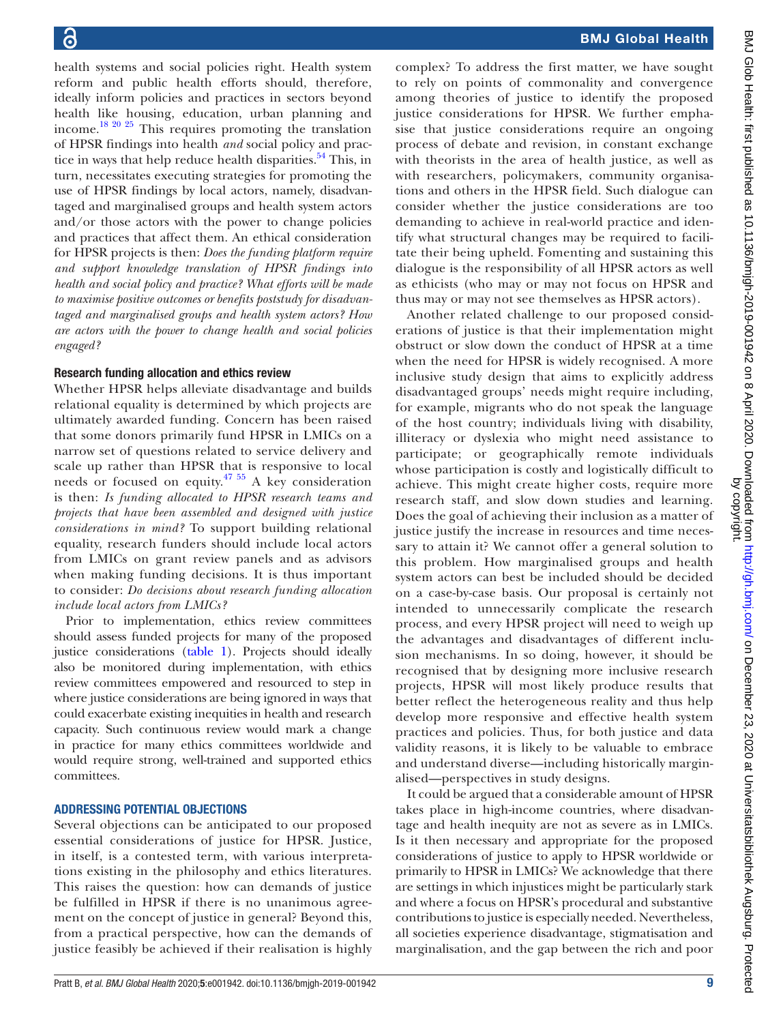health systems and social policies right. Health system reform and public health efforts should, therefore, ideally inform policies and practices in sectors beyond health like housing, education, urban planning and income[.18 20 25](#page-9-13) This requires promoting the translation of HPSR findings into health *and* social policy and practice in ways that help reduce health disparities.<sup>54</sup> This, in turn, necessitates executing strategies for promoting the use of HPSR findings by local actors, namely, disadvantaged and marginalised groups and health system actors and/or those actors with the power to change policies and practices that affect them. An ethical consideration for HPSR projects is then: *Does the funding platform require and support knowledge translation of HPSR findings into health and social policy and practice? What efforts will be made to maximise positive outcomes or benefits poststudy for disadvantaged and marginalised groups and health system actors? How are actors with the power to change health and social policies engaged?*

#### Research funding allocation and ethics review

Whether HPSR helps alleviate disadvantage and builds relational equality is determined by which projects are ultimately awarded funding. Concern has been raised that some donors primarily fund HPSR in LMICs on a narrow set of questions related to service delivery and scale up rather than HPSR that is responsive to local needs or focused on equity.<sup>47 55</sup> A key consideration is then: *Is funding allocated to HPSR research teams and projects that have been assembled and designed with justice considerations in mind?* To support building relational equality, research funders should include local actors from LMICs on grant review panels and as advisors when making funding decisions. It is thus important to consider: *Do decisions about research funding allocation include local actors from LMICs?*

Prior to implementation, ethics review committees should assess funded projects for many of the proposed justice considerations [\(table](#page-3-0) 1). Projects should ideally also be monitored during implementation, with ethics review committees empowered and resourced to step in where justice considerations are being ignored in ways that could exacerbate existing inequities in health and research capacity. Such continuous review would mark a change in practice for many ethics committees worldwide and would require strong, well-trained and supported ethics committees.

#### Addressing potential objections

Several objections can be anticipated to our proposed essential considerations of justice for HPSR. Justice, in itself, is a contested term, with various interpretations existing in the philosophy and ethics literatures. This raises the question: how can demands of justice be fulfilled in HPSR if there is no unanimous agreement on the concept of justice in general? Beyond this, from a practical perspective, how can the demands of justice feasibly be achieved if their realisation is highly

complex? To address the first matter, we have sought to rely on points of commonality and convergence among theories of justice to identify the proposed justice considerations for HPSR. We further emphasise that justice considerations require an ongoing process of debate and revision, in constant exchange with theorists in the area of health justice, as well as with researchers, policymakers, community organisations and others in the HPSR field. Such dialogue can consider whether the justice considerations are too demanding to achieve in real-world practice and identify what structural changes may be required to facilitate their being upheld. Fomenting and sustaining this dialogue is the responsibility of all HPSR actors as well as ethicists (who may or may not focus on HPSR and thus may or may not see themselves as HPSR actors).

Another related challenge to our proposed considerations of justice is that their implementation might obstruct or slow down the conduct of HPSR at a time when the need for HPSR is widely recognised. A more inclusive study design that aims to explicitly address disadvantaged groups' needs might require including, for example, migrants who do not speak the language of the host country; individuals living with disability, illiteracy or dyslexia who might need assistance to participate; or geographically remote individuals whose participation is costly and logistically difficult to achieve. This might create higher costs, require more research staff, and slow down studies and learning. Does the goal of achieving their inclusion as a matter of justice justify the increase in resources and time necessary to attain it? We cannot offer a general solution to this problem. How marginalised groups and health system actors can best be included should be decided on a case-by-case basis. Our proposal is certainly not intended to unnecessarily complicate the research process, and every HPSR project will need to weigh up the advantages and disadvantages of different inclusion mechanisms. In so doing, however, it should be recognised that by designing more inclusive research projects, HPSR will most likely produce results that better reflect the heterogeneous reality and thus help develop more responsive and effective health system practices and policies. Thus, for both justice and data validity reasons, it is likely to be valuable to embrace and understand diverse—including historically marginalised—perspectives in study designs.

It could be argued that a considerable amount of HPSR takes place in high-income countries, where disadvantage and health inequity are not as severe as in LMICs. Is it then necessary and appropriate for the proposed considerations of justice to apply to HPSR worldwide or primarily to HPSR in LMICs? We acknowledge that there are settings in which injustices might be particularly stark and where a focus on HPSR's procedural and substantive contributions to justice is especially needed. Nevertheless, all societies experience disadvantage, stigmatisation and marginalisation, and the gap between the rich and poor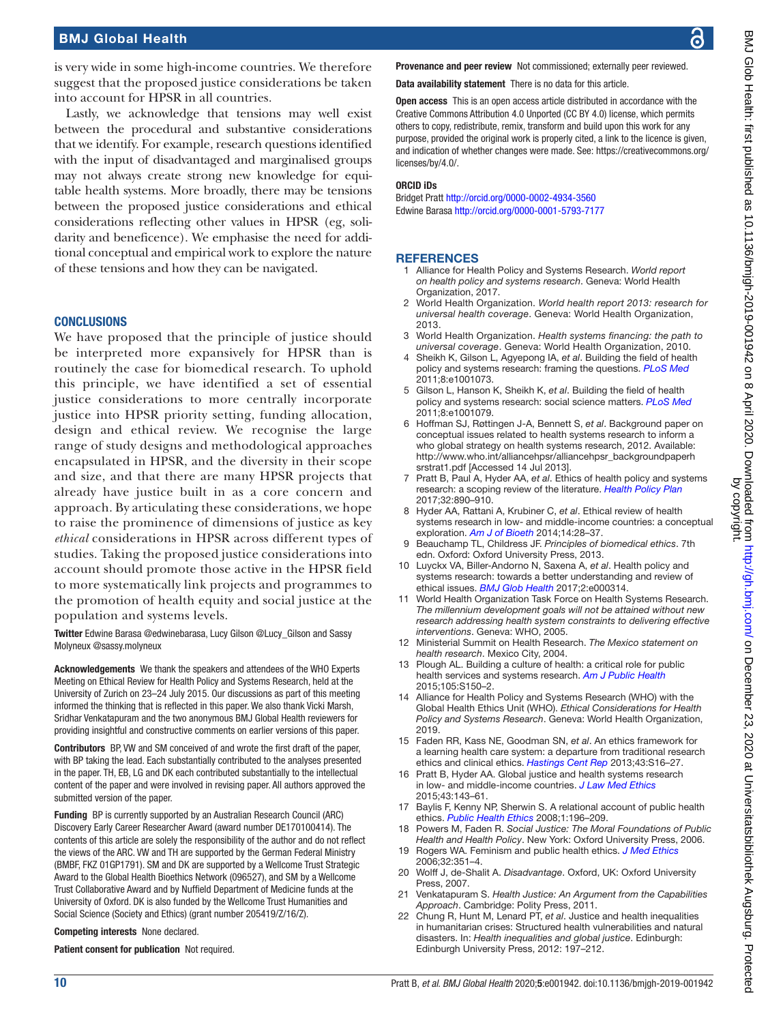is very wide in some high-income countries. We therefore suggest that the proposed justice considerations be taken into account for HPSR in all countries.

Lastly, we acknowledge that tensions may well exist between the procedural and substantive considerations that we identify. For example, research questions identified with the input of disadvantaged and marginalised groups may not always create strong new knowledge for equitable health systems. More broadly, there may be tensions between the proposed justice considerations and ethical considerations reflecting other values in HPSR (eg, solidarity and beneficence). We emphasise the need for additional conceptual and empirical work to explore the nature of these tensions and how they can be navigated.

#### **CONCLUSIONS**

We have proposed that the principle of justice should be interpreted more expansively for HPSR than is routinely the case for biomedical research. To uphold this principle, we have identified a set of essential justice considerations to more centrally incorporate justice into HPSR priority setting, funding allocation, design and ethical review. We recognise the large range of study designs and methodological approaches encapsulated in HPSR, and the diversity in their scope and size, and that there are many HPSR projects that already have justice built in as a core concern and approach. By articulating these considerations, we hope to raise the prominence of dimensions of justice as key *ethical* considerations in HPSR across different types of studies. Taking the proposed justice considerations into account should promote those active in the HPSR field to more systematically link projects and programmes to the promotion of health equity and social justice at the population and systems levels.

Twitter Edwine Barasa [@edwinebarasa](https://twitter.com/edwinebarasa), Lucy Gilson [@Lucy\\_Gilson](https://twitter.com/Lucy_Gilson) and Sassy Molyneux [@sassy.molyneux](https://twitter.com/sassy.molyneux)

Acknowledgements We thank the speakers and attendees of the WHO Experts Meeting on Ethical Review for Health Policy and Systems Research, held at the University of Zurich on 23–24 July 2015. Our discussions as part of this meeting informed the thinking that is reflected in this paper. We also thank Vicki Marsh, Sridhar Venkatapuram and the two anonymous BMJ Global Health reviewers for providing insightful and constructive comments on earlier versions of this paper.

Contributors BP, VW and SM conceived of and wrote the first draft of the paper, with BP taking the lead. Each substantially contributed to the analyses presented in the paper. TH, EB, LG and DK each contributed substantially to the intellectual content of the paper and were involved in revising paper. All authors approved the submitted version of the paper.

Funding BP is currently supported by an Australian Research Council (ARC) Discovery Early Career Researcher Award (award number DE170100414). The contents of this article are solely the responsibility of the author and do not reflect the views of the ARC. VW and TH are supported by the German Federal Ministry (BMBF, FKZ 01GP1791). SM and DK are supported by a Wellcome Trust Strategic Award to the Global Health Bioethics Network (096527), and SM by a Wellcome Trust Collaborative Award and by Nuffield Department of Medicine funds at the University of Oxford. DK is also funded by the Wellcome Trust Humanities and Social Science (Society and Ethics) (grant number 205419/Z/16/Z).

Competing interests None declared.

Patient consent for publication Not required.

Provenance and peer review Not commissioned; externally peer reviewed.

Data availability statement There is no data for this article.

Open access This is an open access article distributed in accordance with the Creative Commons Attribution 4.0 Unported (CC BY 4.0) license, which permits others to copy, redistribute, remix, transform and build upon this work for any purpose, provided the original work is properly cited, a link to the licence is given, and indication of whether changes were made. See: [https://creativecommons.org/](https://creativecommons.org/licenses/by/4.0/) [licenses/by/4.0/](https://creativecommons.org/licenses/by/4.0/).

#### ORCID iDs

Bridget Pratt<http://orcid.org/0000-0002-4934-3560> Edwine Barasa <http://orcid.org/0000-0001-5793-7177>

#### **REFERENCES**

- <span id="page-9-0"></span>1 Alliance for Health Policy and Systems Research. *World report on health policy and systems research*. Geneva: World Health Organization, 2017.
- <span id="page-9-1"></span>2 World Health Organization. *World health report 2013: research for universal health coverage*. Geneva: World Health Organization, 2013.
- 3 World Health Organization. *Health systems financing: the path to universal coverage*. Geneva: World Health Organization, 2010.
- <span id="page-9-2"></span>4 Sheikh K, Gilson L, Agyepong IA, *et al*. Building the field of health policy and systems research: framing the questions. *[PLoS Med](http://dx.doi.org/10.1371/journal.pmed.1001073)* 2011;8:e1001073.
- <span id="page-9-3"></span>5 Gilson L, Hanson K, Sheikh K, *et al*. Building the field of health policy and systems research: social science matters. *[PLoS Med](http://dx.doi.org/10.1371/journal.pmed.1001079)* 2011;8:e1001079.
- <span id="page-9-4"></span>6 Hoffman SJ, Røttingen J-A, Bennett S, *et al*. Background paper on conceptual issues related to health systems research to inform a who global strategy on health systems research, 2012. Available: [http://www.who.int/alliancehpsr/alliancehpsr\\_backgroundpaperh](http://www.who.int/alliancehpsr/alliancehpsr_backgroundpaperhsrstrat1.pdf) [srstrat1.pdf](http://www.who.int/alliancehpsr/alliancehpsr_backgroundpaperhsrstrat1.pdf) [Accessed 14 Jul 2013].
- <span id="page-9-5"></span>7 Pratt B, Paul A, Hyder AA, *et al*. Ethics of health policy and systems research: a scoping review of the literature. *[Health Policy Plan](http://dx.doi.org/10.1093/heapol/czx003)* 2017;32:890–910.
- <span id="page-9-6"></span>8 Hyder AA, Rattani A, Krubiner C, *et al*. Ethical review of health systems research in low- and middle-income countries: a conceptual exploration. *[Am J of Bioeth](http://dx.doi.org/10.1080/15265161.2013.868950)* 2014;14:28–37.
- <span id="page-9-7"></span>9 Beauchamp TL, Childress JF. *Principles of biomedical ethics*. 7th edn. Oxford: Oxford University Press, 2013.
- <span id="page-9-10"></span>10 Luyckx VA, Biller-Andorno N, Saxena A, *et al*. Health policy and systems research: towards a better understanding and review of ethical issues. *[BMJ Glob Health](http://dx.doi.org/10.1136/bmjgh-2017-000314)* 2017;2:e000314.
- <span id="page-9-8"></span>11 World Health Organization Task Force on Health Systems Research. *The millennium development goals will not be attained without new research addressing health system constraints to delivering effective interventions*. Geneva: WHO, 2005.
- 12 Ministerial Summit on Health Research. *The Mexico statement on health research*. Mexico City, 2004.
- <span id="page-9-9"></span>13 Plough AL. Building a culture of health: a critical role for public health services and systems research. *[Am J Public Health](http://dx.doi.org/10.2105/AJPH.2014.302410)* 2015;105:S150–2.
- 14 Alliance for Health Policy and Systems Research (WHO) with the Global Health Ethics Unit (WHO). *Ethical Considerations for Health Policy and Systems Research*. Geneva: World Health Organization, 2019.
- <span id="page-9-11"></span>15 Faden RR, Kass NE, Goodman SN, *et al*. An ethics framework for a learning health care system: a departure from traditional research ethics and clinical ethics. *[Hastings Cent Rep](http://dx.doi.org/10.1002/hast.134)* 2013;43:S16–27.
- <span id="page-9-16"></span>16 Pratt B, Hyder AA. Global justice and health systems research in low- and middle-income countries. *[J Law Med Ethics](http://dx.doi.org/10.1111/jlme.12202)* 2015;43:143–61.
- <span id="page-9-12"></span>17 Baylis F, Kenny NP, Sherwin S. A relational account of public health ethics. *[Public Health Ethics](http://dx.doi.org/10.1093/phe/phn025)* 2008;1:196–209.
- <span id="page-9-13"></span>18 Powers M, Faden R. *Social Justice: The Moral Foundations of Public Health and Health Policy*. New York: Oxford University Press, 2006.
- 19 Rogers WA. Feminism and public health ethics. *[J Med Ethics](http://dx.doi.org/10.1136/jme.2005.013466)* 2006;32:351–4.
- <span id="page-9-15"></span>20 Wolff J, de-Shalit A. *Disadvantage*. Oxford, UK: Oxford University Press, 2007.
- <span id="page-9-17"></span>21 Venkatapuram S. *Health Justice: An Argument from the Capabilities Approach*. Cambridge: Polity Press, 2011.
- <span id="page-9-14"></span>22 Chung R, Hunt M, Lenard PT, *et al*. Justice and health inequalities in humanitarian crises: Structured health vulnerabilities and natural disasters. In: *Health inequalities and global justice*. Edinburgh: Edinburgh University Press, 2012: 197–212.